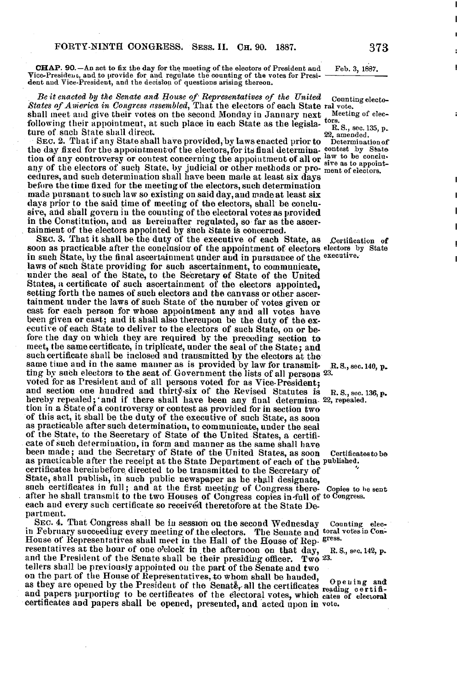CHAP. 90.-An act to fix the day for the meeting of the electors of President and Vice-President, and to provide for and regulate the counting of the votes for President and Vice-President, and the decision of questions arising thereon. FORTY NINTH

Be it enacted by the Senate and House of Representatives of the United Counting electo-<br>States of America in Congress assembled, That the electors of each State ral vote. shall meet and give their votes on the second Monday in January next  $\frac{1}{\sqrt{2}}$  and  $\frac{1}{\sqrt{2}}$ following their appointment, at such place in each State as the legisla-  $\frac{1}{10}$  S., sec. 135, p. ture of such State shall direct.

ture of such State shall direct.<br>
22, amended.<br>
22, amended . SEC. 2. That if any State shall have provided, by laws enacted prior to Determination<br>
22, amendment of the electors, for its final determina. contest by State the day fixed for the appointment of the electors, for its final determina- contest by State tion of any controversy or contest concerning the appointment of all or <sup>law</sup> to be conclu-<br>any of the electors of such State, by indicial or other methods or pro-sive as to appointany of the electors of such State, by judicial or other methods or pro- sive as to appoint cedures, and such determination shall have been made at least six days before the time fixed for the meeting of the electors, such determination made pursuant to such law so existing on said day, and made at least six days prior to the said time of meeting of the electors, shall be conclusive, and shall govern in the counting of the electoral votes as provided in the Constitution, and as hereinafter regulated, so far as the ascertainment of the electors appointed by such State is concerned .

SEC. 3. That it shall be the duty of the executive of each State, as Certification of soon as practicable after the conclusion of the appointment of electors electors by State in such State, by the final ascertainment under and in pursuance of the executive. laws of such State providing for such ascertainment, to communicate, under the seal of the State, to the Secretary of State of the United States, a certificate of such ascertainment of the electors appointed, setting forth the names of such electors and the canvass or other ascertainment under the laws of such State of the number of votes given or cast for each person for whose appointment any and all votes have been given or cast; and it shall also thereupon be the duty of the executive of each State to deliver to the electors of such State, on or before the day on which they are required by the preceding section to meet, the same certificate, in triplicate, under the seal of the State ; and such certificate shall be inclosed and transmitted by the electors at the same time and in the same manner as is provided by law for transmit-R, S., sec. 140, p.<br>ting by such electors to the seat of Government the lists of all persons 23. voted for as President and of all persons voted for as Vice-President ; and section one hundred and thirty-six of the Revised Statutes is R.S., sec. 136, p.<br>hereby repealed, and if there shall have been any final determina. 22, repealed. tion in a State of a controversy or contest as provided for in section two of this act, it shall be the duty of the executive of such State, as soon as practicable after such determination, to communicate, under the seal of the State, to the Secretary of State of the United States, a certificate of such determination, in form and manner as the same shall have been made; and the Secretary of State of the United States, as soon Certificates to be as practicable after the receipt at the State Department of each of the published. certificates hereinbefore directed to be transmitted to the Secretary of State, shall publish, in such public newspaper as he shall designate, such certificates in full; and at the first meeting of Congress there- Copies to he sent after he shall transmit to the two Houses of Congress copies in-full of to Congress. each and every such certificate so received theretofore at the State Department.

SEC. 4. That Congress shall be in session on the second Wednesday Counting elecin February succeeding every meeting of the electors. The Senate and toral votes in Con-House of Representatives shall meet in the Hall of the House of Rep. gress.<br>resentatives at the hour of one o'clock in the afternoon on that day, R.S., sec. 142, p. resentatives at the hour of one o'clock in the afternoon on that day, and the President of the Senate shall be their presiding officer. Two  $^{23}$  tellers shall be previously appointed on the part of the Senate and two deners shall be previously appointed on the part of the Senate and two<br>on the part of the House of Representatives, to whom shall be handed,<br>as they are opened by the President of the Senate, all the certificates reading c and papers purporting to be certificates of the electoral votes, which cates of electoral certificates and papers shall be opened, presented, and acted upon in vote .

Feb. 3, 1887.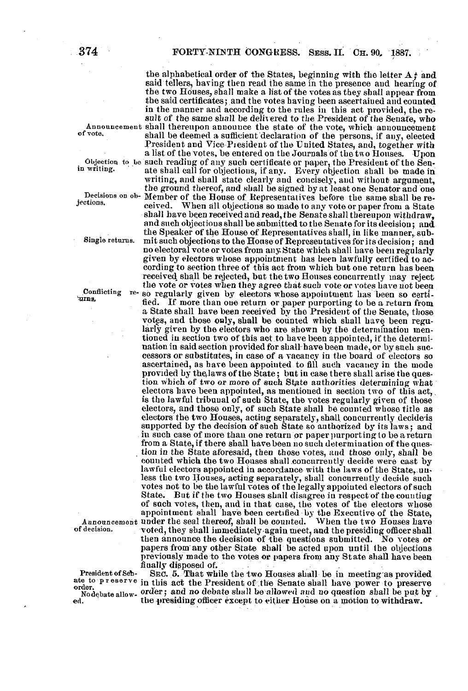of vote,

in writing.

jections.

ed.

the alphabetical order of the States, beginning with the letter  $A$ ; and said tellers, having then read the same in the presence and hearing of the two Houses, shall make a list of the votes as they shall appear from the said certificates; and the votes having been ascertained and counted in the manner and according to the rules in this act provided, the result of the same shall be delivered to the President of the Senate, who Announcement shall thereupon announce the state of the vote, which announcement shall be deemed a sufficient'declaration of the persons, if any, elected President and Vice-Piesident of the United States, and, together with a list of the votes, be entered on the Journals of the two Houses. Upon objection to be such reading of any such certificate or paper, the President of the Senate shall call for objections, if any . Every objection shall be made in writing, and shall state clearly and concisely, and without argument, the ground thereof, and shall be signed by at least one Senator and one Decisions on ob- Member of the House of Representatives before the same shall be re-When all objections so made to any vote or paper from a State shall have been received and read, the Senate shall thereupon withdraw, and such objections shall be submitted to the Senate for its decision ; and the Speaker of the House of Representatives shall, in like manner, sub-Single returns . mit such objections to the House of Representatives for its decision ; and no electoral vote or votes from any. State which shall have been regularly given by electors whose appointment has been lawfully certified to according to section three of this act from which but one return has been received shall be rejected, but the two Houses concurrently may reject the vote or votes when they agree that such vote or votes have not been Conflicting re- so regularly given by electors whose appointment has been so certi-<br>turns, fied. If more than one return or paper purporting to be a return from If more than one return or paper purporting to be a return from a State shall have been received by the President of the Senate, those votes, and those only, shall be counted which shall have been regularly given by the electors who are shown by the determination mentioned in section two of this act to have been appointed, if the determination in said section provided for shall-have been made, or by such successors or substitutes, in case of a vacancy in the board of electors so ascertained, as have been appointed to fill such vacancy in the mode provided by the laws of the State; but in case there shall arise the question Which of two or more of such State authorities determining what electors have been appointed, as mentioned in section two of this act, is the lawful tribunal of such State, the votes regularly given of those electors, and those only, of such State shall be counted whose title as electors the two Houses, acting separately, shall concurrently decide is supported by the decision of such State so authorized by its laws ; and in such case of more than one return or paper purporting to be a return from a State, if there shall have been no such determination of the question in the State aforesaid, then those votes, and those only, shall be counted which the two Houses shall concurrently decide were cast by lawful electors appointed in accordance with the laws of the State, unless the two Houses, acting separately, shall concurrently decide such votes not to be the lawful votes of the legally appointed electors of such<br>State. But if the two Houses shall disagree in respect of the counting But if the two Houses shall disagree in respect of the counting of such votes, then, and in that case, the votes of the electors whose appointment shall have been certified by the Executive of the State,<br>Announcement under the seal thereof, shall be counted. When the two Houses have of decision . voted, they shall immediately-again meet, and the presiding officer shall then announce the decision of The questions submitted. No votes or papers from any other State shall be acted upon until the objections previously made to the votes or papers from any State shall have been finally disposed of.<br>SEC. 5. That while the two Houses shall be in meeting as provided

President of Set- SEC. 5. That while the two Houses shall be in meeting as provided<br>ate to preserve in this act the President of the Senate shall have power to preserve Nodebate allow-order; and no debate shall be allowed and no question shall be put by  $\overline{y}$ , nually<br>SEC<br>in this<br>order ;<br>the pr the presiding officer except to either House on a motion to withdraw.